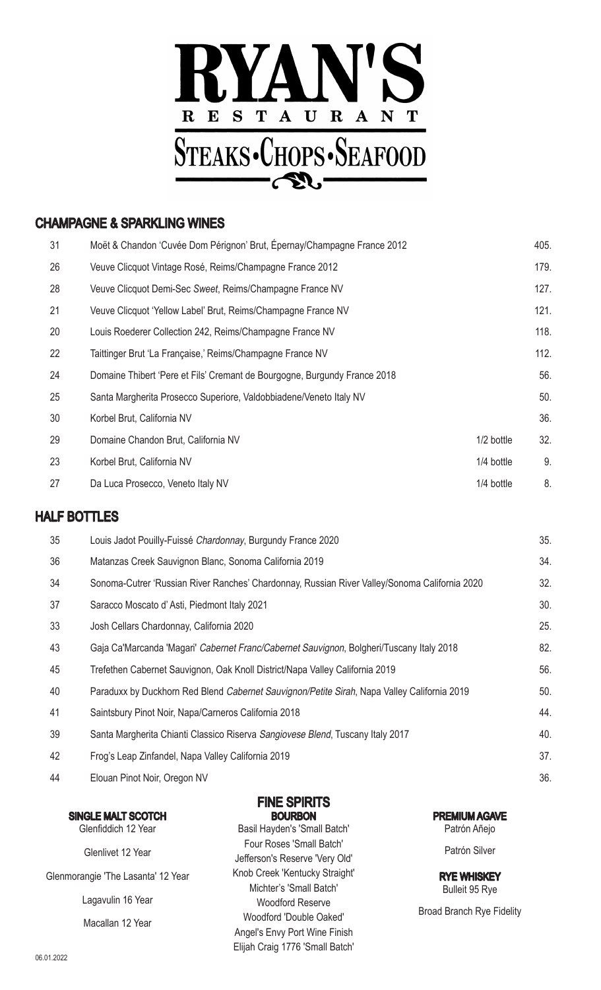

#### CHAMPAGNE & SPARKLING WINES

| 31 | Moët & Chandon 'Cuvée Dom Pérignon' Brut, Épernay/Champagne France 2012   |              | 405. |
|----|---------------------------------------------------------------------------|--------------|------|
| 26 | Veuve Clicquot Vintage Rosé, Reims/Champagne France 2012                  |              | 179. |
| 28 | Veuve Clicquot Demi-Sec Sweet, Reims/Champagne France NV                  |              | 127. |
| 21 | Veuve Clicquot 'Yellow Label' Brut, Reims/Champagne France NV             |              | 121. |
| 20 | Louis Roederer Collection 242, Reims/Champagne France NV                  |              | 118. |
| 22 | Taittinger Brut 'La Française,' Reims/Champagne France NV                 |              | 112. |
| 24 | Domaine Thibert 'Pere et Fils' Cremant de Bourgogne, Burgundy France 2018 |              | 56.  |
| 25 | Santa Margherita Prosecco Superiore, Valdobbiadene/Veneto Italy NV        |              | 50.  |
| 30 | Korbel Brut, California NV                                                |              | 36.  |
| 29 | Domaine Chandon Brut, California NV                                       | 1/2 bottle   | 32.  |
| 23 | Korbel Brut, California NV                                                | $1/4$ bottle | 9.   |
| 27 | Da Luca Prosecco, Veneto Italy NV                                         | 1/4 bottle   | 8.   |
|    |                                                                           |              |      |

#### HALF BOTTLES

|    | 35 | Louis Jadot Pouilly-Fuissé Chardonnay, Burgundy France 2020                                   | 35. |
|----|----|-----------------------------------------------------------------------------------------------|-----|
|    | 36 | Matanzas Creek Sauvignon Blanc, Sonoma California 2019                                        | 34. |
|    | 34 | Sonoma-Cutrer 'Russian River Ranches' Chardonnay, Russian River Valley/Sonoma California 2020 | 32. |
|    | 37 | Saracco Moscato d'Asti, Piedmont Italy 2021                                                   | 30. |
|    | 33 | Josh Cellars Chardonnay, California 2020                                                      | 25. |
|    | 43 | Gaja Ca'Marcanda 'Magari' Cabernet Franc/Cabernet Sauvignon, Bolgheri/Tuscany Italy 2018      | 82. |
|    | 45 | Trefethen Cabernet Sauvignon, Oak Knoll District/Napa Valley California 2019                  | 56. |
|    | 40 | Paraduxx by Duckhorn Red Blend Cabernet Sauvignon/Petite Sirah, Napa Valley California 2019   | 50. |
| 41 |    | Saintsbury Pinot Noir, Napa/Carneros California 2018                                          | 44. |
|    | 39 | Santa Margherita Chianti Classico Riserva Sangiovese Blend, Tuscany Italy 2017                | 40. |
|    | 42 | Frog's Leap Zinfandel, Napa Valley California 2019                                            | 37. |
|    | 44 | Elouan Pinot Noir, Oregon NV                                                                  | 36. |

#### FINE SPIRITS **BOURBON**

| <b>SINGLE MALT SCOTCH</b>          | <b>BOURBON</b>                  | <b>PREMIUM AGAVE</b>             |
|------------------------------------|---------------------------------|----------------------------------|
| Glenfiddich 12 Year                | Basil Hayden's 'Small Batch'    | Patrón Añejo                     |
|                                    | Four Roses 'Small Batch'        | Patrón Silver                    |
| Glenlivet 12 Year                  | Jefferson's Reserve 'Very Old'  |                                  |
| Glenmorangie 'The Lasanta' 12 Year | Knob Creek 'Kentucky Straight'  | <b>RYE WHISKEY</b>               |
|                                    | Michter's 'Small Batch'         | Bulleit 95 Rye                   |
| Lagavulin 16 Year                  | <b>Woodford Reserve</b>         |                                  |
| Macallan 12 Year                   | Woodford 'Double Oaked'         | <b>Broad Branch Rye Fidelity</b> |
|                                    | Angel's Envy Port Wine Finish   |                                  |
|                                    | Elijah Craig 1776 'Small Batch' |                                  |
|                                    |                                 |                                  |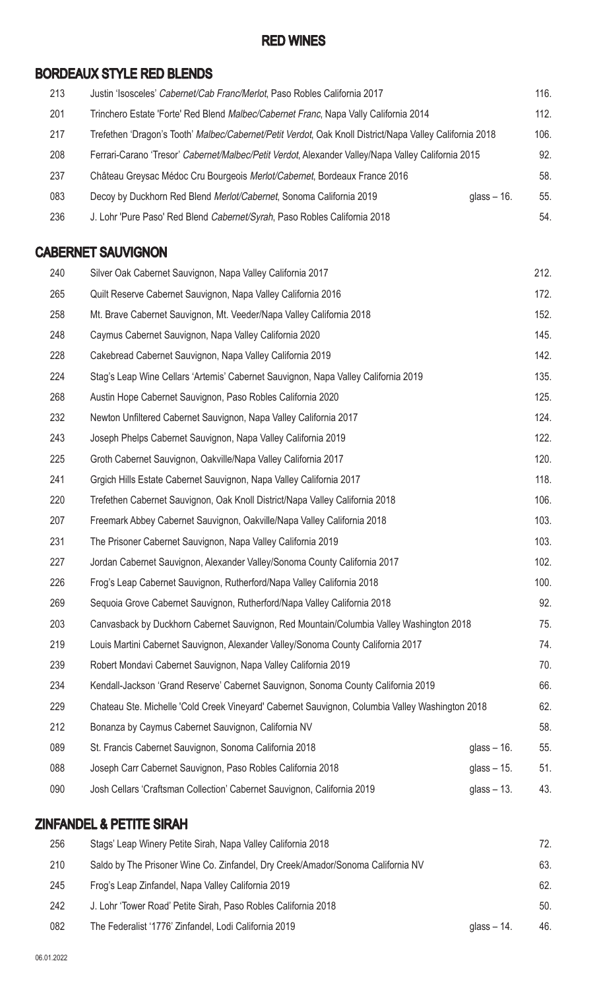#### RED WINES

## BORDEAUX STYLE RED BLENDS

| 213 | Justin 'Isosceles' Cabernet/Cab Franc/Merlot, Paso Robles California 2017                               |               | 116. |
|-----|---------------------------------------------------------------------------------------------------------|---------------|------|
| 201 | Trinchero Estate 'Forte' Red Blend Malbec/Cabernet Franc, Napa Vally California 2014                    |               | 112. |
| 217 | Trefethen 'Dragon's Tooth' Malbec/Cabernet/Petit Verdot, Oak Knoll District/Napa Valley California 2018 |               | 106. |
| 208 | Ferrari-Carano 'Tresor' Cabernet/Malbec/Petit Verdot, Alexander Valley/Napa Valley California 2015      |               | 92.  |
| 237 | Château Greysac Médoc Cru Bourgeois Merlot/Cabernet, Bordeaux France 2016                               |               | 58.  |
| 083 | Decoy by Duckhorn Red Blend Merlot/Cabernet, Sonoma California 2019                                     | glass $-16$ . | 55.  |
| 236 | J. Lohr 'Pure Paso' Red Blend Cabernet/Syrah, Paso Robles California 2018                               |               | 54.  |

### CABERNET SAUVIGNON

| 240 | Silver Oak Cabernet Sauvignon, Napa Valley California 2017                                      |               | 212. |
|-----|-------------------------------------------------------------------------------------------------|---------------|------|
| 265 | Quilt Reserve Cabernet Sauvignon, Napa Valley California 2016                                   |               | 172. |
| 258 | Mt. Brave Cabernet Sauvignon, Mt. Veeder/Napa Valley California 2018                            |               | 152. |
| 248 | Caymus Cabernet Sauvignon, Napa Valley California 2020                                          |               | 145. |
| 228 | Cakebread Cabernet Sauvignon, Napa Valley California 2019                                       |               | 142. |
| 224 | Stag's Leap Wine Cellars 'Artemis' Cabernet Sauvignon, Napa Valley California 2019              |               | 135. |
| 268 | Austin Hope Cabernet Sauvignon, Paso Robles California 2020                                     |               | 125. |
| 232 | Newton Unfiltered Cabernet Sauvignon, Napa Valley California 2017                               |               | 124. |
| 243 | Joseph Phelps Cabernet Sauvignon, Napa Valley California 2019                                   |               | 122. |
| 225 | Groth Cabernet Sauvignon, Oakville/Napa Valley California 2017                                  |               | 120. |
| 241 | Grgich Hills Estate Cabernet Sauvignon, Napa Valley California 2017                             |               | 118. |
| 220 | Trefethen Cabernet Sauvignon, Oak Knoll District/Napa Valley California 2018                    |               | 106. |
| 207 | Freemark Abbey Cabernet Sauvignon, Oakville/Napa Valley California 2018                         |               | 103. |
| 231 | The Prisoner Cabernet Sauvignon, Napa Valley California 2019                                    |               | 103. |
| 227 | Jordan Cabernet Sauvignon, Alexander Valley/Sonoma County California 2017                       |               | 102. |
| 226 | Frog's Leap Cabernet Sauvignon, Rutherford/Napa Valley California 2018                          |               | 100. |
| 269 | Sequoia Grove Cabernet Sauvignon, Rutherford/Napa Valley California 2018                        |               | 92.  |
| 203 | Canvasback by Duckhorn Cabernet Sauvignon, Red Mountain/Columbia Valley Washington 2018         |               | 75.  |
| 219 | Louis Martini Cabernet Sauvignon, Alexander Valley/Sonoma County California 2017                |               | 74.  |
| 239 | Robert Mondavi Cabernet Sauvignon, Napa Valley California 2019                                  |               | 70.  |
| 234 | Kendall-Jackson 'Grand Reserve' Cabernet Sauvignon, Sonoma County California 2019               |               | 66.  |
| 229 | Chateau Ste. Michelle 'Cold Creek Vineyard' Cabernet Sauvignon, Columbia Valley Washington 2018 |               | 62.  |
| 212 | Bonanza by Caymus Cabernet Sauvignon, California NV                                             |               | 58.  |
| 089 | St. Francis Cabernet Sauvignon, Sonoma California 2018                                          | glass $-16$ . | 55.  |
| 088 | Joseph Carr Cabernet Sauvignon, Paso Robles California 2018                                     | glass $-15$ . | 51.  |
| 090 | Josh Cellars 'Craftsman Collection' Cabernet Sauvignon, California 2019                         | glass $-13$ . | 43.  |
|     |                                                                                                 |               |      |

## ZINFANDEL & PETITE SIRAH

| 256 | Stags' Leap Winery Petite Sirah, Napa Valley California 2018                    |               | 72. |
|-----|---------------------------------------------------------------------------------|---------------|-----|
| 210 | Saldo by The Prisoner Wine Co. Zinfandel, Dry Creek/Amador/Sonoma California NV |               | 63. |
| 245 | Frog's Leap Zinfandel, Napa Valley California 2019                              |               | 62. |
| 242 | J. Lohr 'Tower Road' Petite Sirah, Paso Robles California 2018                  |               | 50. |
| 082 | The Federalist '1776' Zinfandel, Lodi California 2019                           | glass $-14$ . | 46. |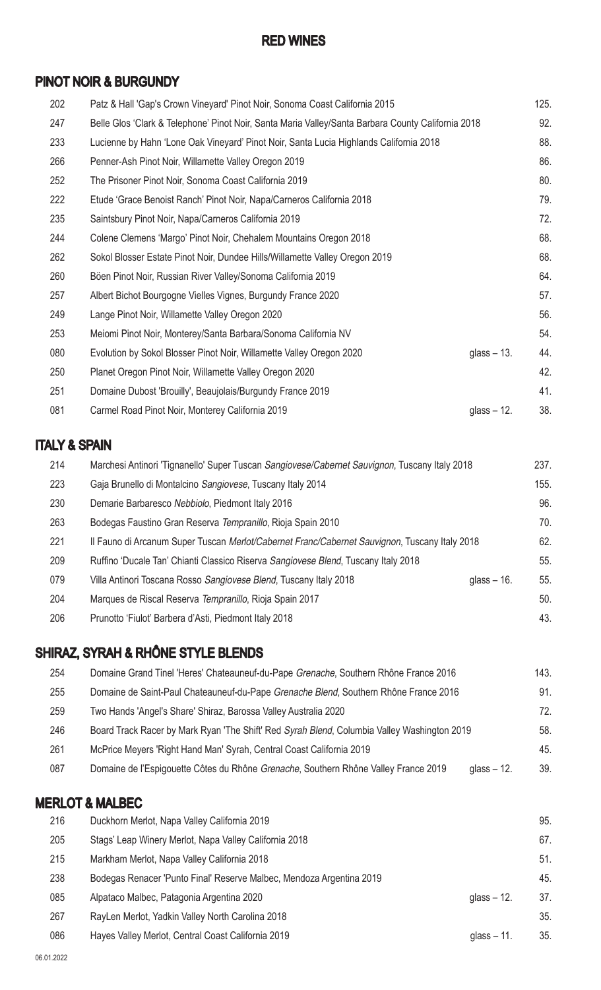#### RED WINES

### PINOT NOIR & BURGUNDY

| 202 | Patz & Hall 'Gap's Crown Vineyard' Pinot Noir, Sonoma Coast California 2015                        |               | 125. |
|-----|----------------------------------------------------------------------------------------------------|---------------|------|
| 247 | Belle Glos 'Clark & Telephone' Pinot Noir, Santa Maria Valley/Santa Barbara County California 2018 |               | 92.  |
| 233 | Lucienne by Hahn 'Lone Oak Vineyard' Pinot Noir, Santa Lucia Highlands California 2018             |               | 88.  |
| 266 | Penner-Ash Pinot Noir, Willamette Valley Oregon 2019                                               |               | 86.  |
| 252 | The Prisoner Pinot Noir, Sonoma Coast California 2019                                              |               | 80.  |
| 222 | Etude 'Grace Benoist Ranch' Pinot Noir, Napa/Carneros California 2018                              |               | 79.  |
| 235 | Saintsbury Pinot Noir, Napa/Carneros California 2019                                               |               | 72.  |
| 244 | Colene Clemens 'Margo' Pinot Noir, Chehalem Mountains Oregon 2018                                  |               | 68.  |
| 262 | Sokol Blosser Estate Pinot Noir, Dundee Hills/Willamette Valley Oregon 2019                        |               | 68.  |
| 260 | Böen Pinot Noir, Russian River Valley/Sonoma California 2019                                       |               | 64.  |
| 257 | Albert Bichot Bourgogne Vielles Vignes, Burgundy France 2020                                       |               | 57.  |
| 249 | Lange Pinot Noir, Willamette Valley Oregon 2020                                                    |               | 56.  |
| 253 | Meiomi Pinot Noir, Monterey/Santa Barbara/Sonoma California NV                                     |               | 54.  |
| 080 | Evolution by Sokol Blosser Pinot Noir, Willamette Valley Oregon 2020                               | glass $-13$ . | 44.  |
| 250 | Planet Oregon Pinot Noir, Willamette Valley Oregon 2020                                            |               | 42.  |
| 251 | Domaine Dubost 'Brouilly', Beaujolais/Burgundy France 2019                                         |               | 41.  |
| 081 | Carmel Road Pinot Noir, Monterey California 2019                                                   | glass $-12$ . | 38.  |

## ITALY & SPAIN

| 214 | Marchesi Antinori 'Tignanello' Super Tuscan Sangiovese/Cabernet Sauvignon, Tuscany Italy 2018 |               | 237. |
|-----|-----------------------------------------------------------------------------------------------|---------------|------|
| 223 | Gaja Brunello di Montalcino Sangiovese, Tuscany Italy 2014                                    |               | 155. |
| 230 | Demarie Barbaresco Nebbiolo, Piedmont Italy 2016                                              |               | 96.  |
| 263 | Bodegas Faustino Gran Reserva Tempranillo, Rioja Spain 2010                                   |               | 70.  |
| 221 | Il Fauno di Arcanum Super Tuscan Merlot/Cabernet Franc/Cabernet Sauvignon, Tuscany Italy 2018 |               | 62.  |
| 209 | Ruffino 'Ducale Tan' Chianti Classico Riserva Sangiovese Blend, Tuscany Italy 2018            |               | 55.  |
| 079 | Villa Antinori Toscana Rosso Sangiovese Blend, Tuscany Italy 2018                             | glass $-16$ . | 55.  |
| 204 | Marques de Riscal Reserva Tempranillo, Rioja Spain 2017                                       |               | 50.  |
| 206 | Prunotto 'Fiulot' Barbera d'Asti, Piedmont Italy 2018                                         |               | 43.  |

# SHIRAZ, SYRAH & RHÔNE STYLE BLENDS

| 254 | Domaine Grand Tinel 'Heres' Chateauneuf-du-Pape Grenache, Southern Rhône France 2016        |               | 143. |
|-----|---------------------------------------------------------------------------------------------|---------------|------|
| 255 | Domaine de Saint-Paul Chateauneuf-du-Pape Grenache Blend, Southern Rhône France 2016        |               | 91.  |
| 259 | Two Hands 'Angel's Share' Shiraz, Barossa Valley Australia 2020                             |               | 72.  |
| 246 | Board Track Racer by Mark Ryan 'The Shift' Red Syrah Blend, Columbia Valley Washington 2019 |               | 58.  |
| 261 | McPrice Meyers 'Right Hand Man' Syrah, Central Coast California 2019                        |               | 45.  |
| 087 | Domaine de l'Espigouette Côtes du Rhône Grenache, Southern Rhône Valley France 2019         | glass $-12$ . | 39.  |
|     |                                                                                             |               |      |

## MERLOT & MALBEC

| 216 | Duckhorn Merlot, Napa Valley California 2019                         |               | 95. |
|-----|----------------------------------------------------------------------|---------------|-----|
| 205 | Stags' Leap Winery Merlot, Napa Valley California 2018               |               | 67. |
| 215 | Markham Merlot, Napa Valley California 2018                          |               | 51. |
| 238 | Bodegas Renacer 'Punto Final' Reserve Malbec, Mendoza Argentina 2019 |               | 45. |
| 085 | Alpataco Malbec, Patagonia Argentina 2020                            | glass $-12$ . | 37. |
| 267 | RayLen Merlot, Yadkin Valley North Carolina 2018                     |               | 35. |
| 086 | Hayes Valley Merlot, Central Coast California 2019                   | glass $-11$ . | 35. |